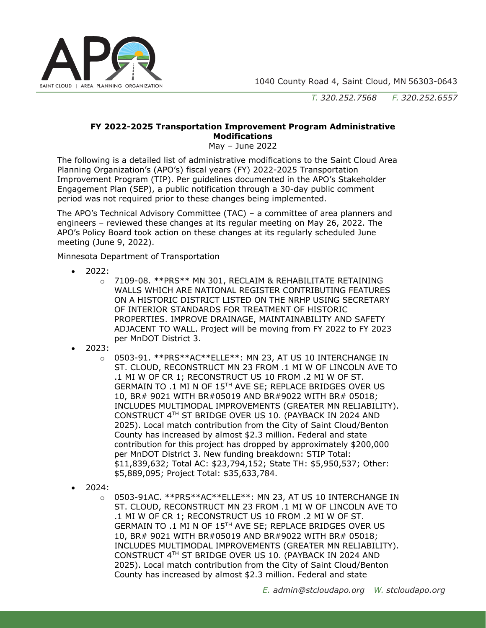

*T. 320.252.7568 F. 320.252.6557*

## **FY 2022-2025 Transportation Improvement Program Administrative Modifications**

May – June 2022

The following is a detailed list of administrative modifications to the Saint Cloud Area Planning Organization's (APO's) fiscal years (FY) 2022-2025 Transportation Improvement Program (TIP). Per guidelines documented in the APO's Stakeholder Engagement Plan (SEP), a public notification through a 30-day public comment period was not required prior to these changes being implemented.

The APO's Technical Advisory Committee (TAC) – a committee of area planners and engineers – reviewed these changes at its regular meeting on May 26, 2022. The APO's Policy Board took action on these changes at its regularly scheduled June meeting (June 9, 2022).

Minnesota Department of Transportation

- 2022:
	- o 7109-08. \*\*PRS\*\* MN 301, RECLAIM & REHABILITATE RETAINING WALLS WHICH ARE NATIONAL REGISTER CONTRIBUTING FEATURES ON A HISTORIC DISTRICT LISTED ON THE NRHP USING SECRETARY OF INTERIOR STANDARDS FOR TREATMENT OF HISTORIC PROPERTIES. IMPROVE DRAINAGE, MAINTAINABILITY AND SAFETY ADJACENT TO WALL. Project will be moving from FY 2022 to FY 2023 per MnDOT District 3.
- 2023:
	- o 0503-91. \*\*PRS\*\*AC\*\*ELLE\*\*: MN 23, AT US 10 INTERCHANGE IN ST. CLOUD, RECONSTRUCT MN 23 FROM .1 MI W OF LINCOLN AVE TO .1 MI W OF CR 1; RECONSTRUCT US 10 FROM .2 MI W OF ST. GERMAIN TO .1 MI N OF 15TH AVE SE; REPLACE BRIDGES OVER US 10, BR# 9021 WITH BR#05019 AND BR#9022 WITH BR# 05018; INCLUDES MULTIMODAL IMPROVEMENTS (GREATER MN RELIABILITY). CONSTRUCT 4TH ST BRIDGE OVER US 10. (PAYBACK IN 2024 AND 2025). Local match contribution from the City of Saint Cloud/Benton County has increased by almost \$2.3 million. Federal and state contribution for this project has dropped by approximately \$200,000 per MnDOT District 3. New funding breakdown: STIP Total: \$11,839,632; Total AC: \$23,794,152; State TH: \$5,950,537; Other: \$5,889,095; Project Total: \$35,633,784.
- 2024:
	- o 0503-91AC. \*\*PRS\*\*AC\*\*ELLE\*\*: MN 23, AT US 10 INTERCHANGE IN ST. CLOUD, RECONSTRUCT MN 23 FROM .1 MI W OF LINCOLN AVE TO .1 MI W OF CR 1; RECONSTRUCT US 10 FROM .2 MI W OF ST. GERMAIN TO .1 MI N OF 15TH AVE SE; REPLACE BRIDGES OVER US 10, BR# 9021 WITH BR#05019 AND BR#9022 WITH BR# 05018; INCLUDES MULTIMODAL IMPROVEMENTS (GREATER MN RELIABILITY). CONSTRUCT 4TH ST BRIDGE OVER US 10. (PAYBACK IN 2024 AND 2025). Local match contribution from the City of Saint Cloud/Benton County has increased by almost \$2.3 million. Federal and state